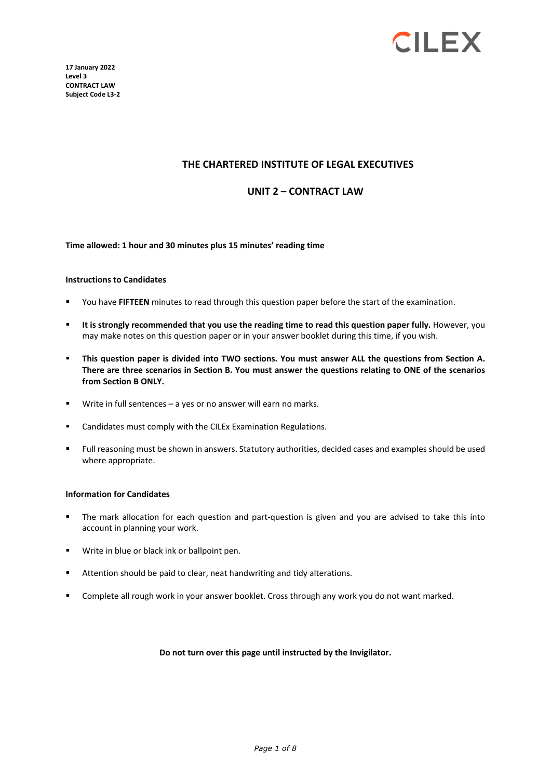

**17 January 2022 Level 3 CONTRACT LAW Subject Code L3-2** 

### **THE CHARTERED INSTITUTE OF LEGAL EXECUTIVES**

#### **UNIT 2 – CONTRACT LAW**

#### **Time allowed: 1 hour and 30 minutes plus 15 minutes' reading time**

#### **Instructions to Candidates**

- You have **FIFTEEN** minutes to read through this question paper before the start of the examination.
- **It is strongly recommended that you use the reading time to read this question paper fully.** However, you may make notes on this question paper or in your answer booklet during this time, if you wish.
- **This question paper is divided into TWO sections. You must answer ALL the questions from Section A. There are three scenarios in Section B. You must answer the questions relating to ONE of the scenarios from Section B ONLY.**
- Write in full sentences a yes or no answer will earn no marks.
- Candidates must comply with the CILEx Examination Regulations.
- Full reasoning must be shown in answers. Statutory authorities, decided cases and examples should be used where appropriate.

#### **Information for Candidates**

- The mark allocation for each question and part-question is given and you are advised to take this into account in planning your work.
- Write in blue or black ink or ballpoint pen.
- Attention should be paid to clear, neat handwriting and tidy alterations.
- Complete all rough work in your answer booklet. Cross through any work you do not want marked.

#### **Do not turn over this page until instructed by the Invigilator.**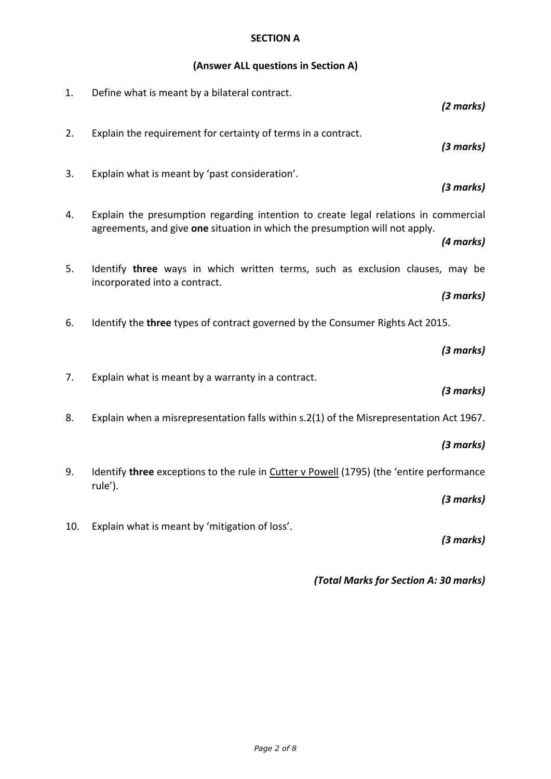# **SECTION A**

# **(Answer ALL questions in Section A)**

| 1.  | Define what is meant by a bilateral contract.                                                                                                                      | (2 marks) |
|-----|--------------------------------------------------------------------------------------------------------------------------------------------------------------------|-----------|
| 2.  | Explain the requirement for certainty of terms in a contract.                                                                                                      | (3 marks) |
| 3.  | Explain what is meant by 'past consideration'.                                                                                                                     | (3 marks) |
| 4.  | Explain the presumption regarding intention to create legal relations in commercial<br>agreements, and give one situation in which the presumption will not apply. |           |
|     |                                                                                                                                                                    | (4 marks) |
| 5.  | Identify three ways in which written terms, such as exclusion clauses, may be<br>incorporated into a contract.                                                     |           |
|     |                                                                                                                                                                    | (3 marks) |
| 6.  | Identify the three types of contract governed by the Consumer Rights Act 2015.                                                                                     |           |
|     |                                                                                                                                                                    | (3 marks) |
| 7.  | Explain what is meant by a warranty in a contract.                                                                                                                 | (3 marks) |
| 8.  | Explain when a misrepresentation falls within s.2(1) of the Misrepresentation Act 1967.                                                                            |           |
|     |                                                                                                                                                                    | (3 marks) |
| 9.  | Identify three exceptions to the rule in Cutter v Powell (1795) (the 'entire performance<br>rule').                                                                |           |
|     |                                                                                                                                                                    | (3 marks) |
| 10. | Explain what is meant by 'mitigation of loss'.                                                                                                                     | (3 marks) |

*(Total Marks for Section A: 30 marks)*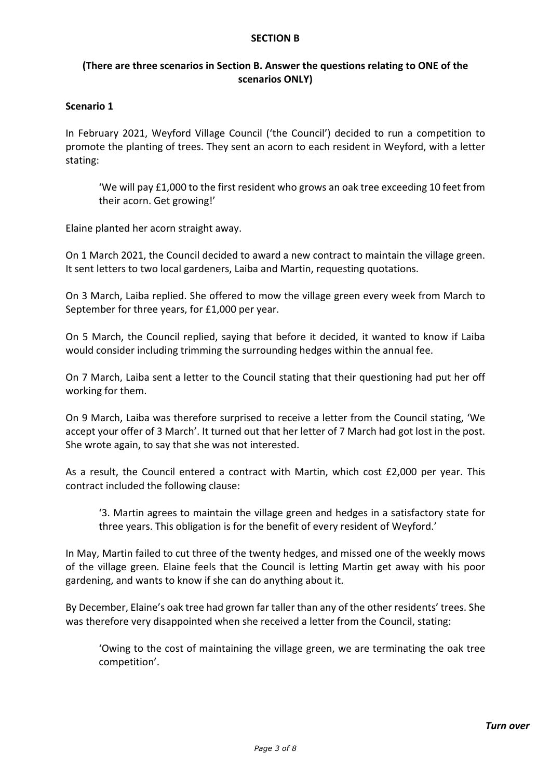### **SECTION B**

# **(There are three scenarios in Section B. Answer the questions relating to ONE of the scenarios ONLY)**

## **Scenario 1**

In February 2021, Weyford Village Council ('the Council') decided to run a competition to promote the planting of trees. They sent an acorn to each resident in Weyford, with a letter stating:

'We will pay £1,000 to the first resident who grows an oak tree exceeding 10 feet from their acorn. Get growing!'

Elaine planted her acorn straight away.

On 1 March 2021, the Council decided to award a new contract to maintain the village green. It sent letters to two local gardeners, Laiba and Martin, requesting quotations.

On 3 March, Laiba replied. She offered to mow the village green every week from March to September for three years, for £1,000 per year.

On 5 March, the Council replied, saying that before it decided, it wanted to know if Laiba would consider including trimming the surrounding hedges within the annual fee.

On 7 March, Laiba sent a letter to the Council stating that their questioning had put her off working for them.

On 9 March, Laiba was therefore surprised to receive a letter from the Council stating, 'We accept your offer of 3 March'. It turned out that her letter of 7 March had got lost in the post. She wrote again, to say that she was not interested.

As a result, the Council entered a contract with Martin, which cost £2,000 per year. This contract included the following clause:

'3. Martin agrees to maintain the village green and hedges in a satisfactory state for three years. This obligation is for the benefit of every resident of Weyford.'

In May, Martin failed to cut three of the twenty hedges, and missed one of the weekly mows of the village green. Elaine feels that the Council is letting Martin get away with his poor gardening, and wants to know if she can do anything about it.

By December, Elaine's oak tree had grown far taller than any of the other residents' trees. She was therefore very disappointed when she received a letter from the Council, stating:

'Owing to the cost of maintaining the village green, we are terminating the oak tree competition'.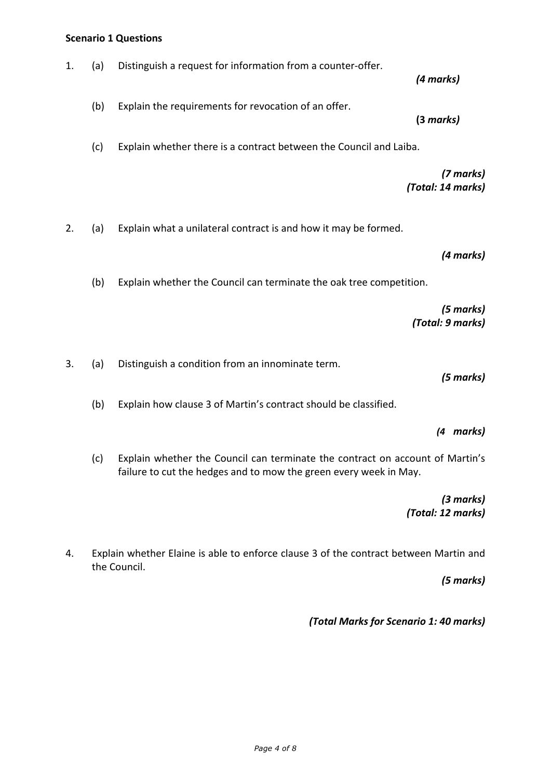## **Scenario 1 Questions**

| 1. | (a) | Distinguish a request for information from a counter-offer.                                                                                        | (4 marks)                      |
|----|-----|----------------------------------------------------------------------------------------------------------------------------------------------------|--------------------------------|
|    | (b) | Explain the requirements for revocation of an offer.                                                                                               | (3 marks)                      |
|    | (c) | Explain whether there is a contract between the Council and Laiba.                                                                                 |                                |
|    |     |                                                                                                                                                    | (7 marks)<br>(Total: 14 marks) |
| 2. | (a) | Explain what a unilateral contract is and how it may be formed.                                                                                    |                                |
|    |     |                                                                                                                                                    | (4 marks)                      |
|    | (b) | Explain whether the Council can terminate the oak tree competition.                                                                                |                                |
|    |     |                                                                                                                                                    | (5 marks)<br>(Total: 9 marks)  |
| 3. | (a) | Distinguish a condition from an innominate term.                                                                                                   | (5 marks)                      |
|    | (b) | Explain how clause 3 of Martin's contract should be classified.                                                                                    |                                |
|    |     |                                                                                                                                                    | (4 marks)                      |
|    | (c) | Explain whether the Council can terminate the contract on account of Martin's<br>failure to cut the hedges and to mow the green every week in May. |                                |
|    |     |                                                                                                                                                    | (3 marks)                      |

 *(Total: 12 marks)*

4. Explain whether Elaine is able to enforce clause 3 of the contract between Martin and the Council.

*(5 marks)*

*(Total Marks for Scenario 1: 40 marks)*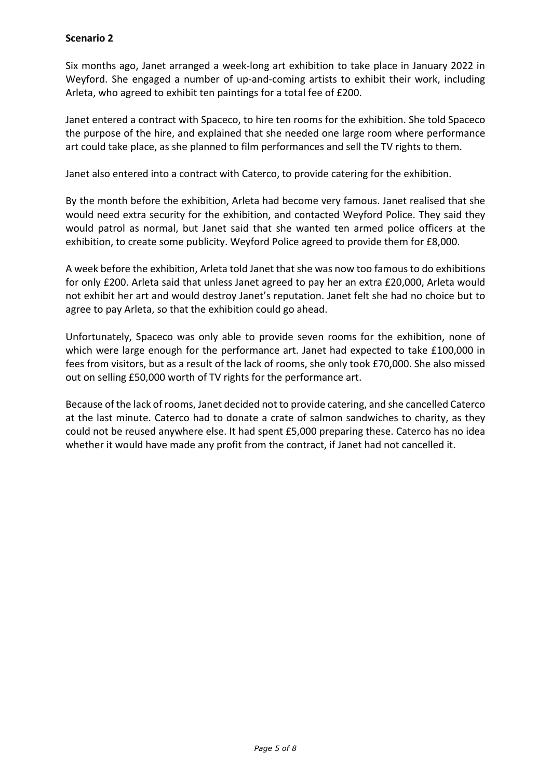# **Scenario 2**

Six months ago, Janet arranged a week-long art exhibition to take place in January 2022 in Weyford. She engaged a number of up-and-coming artists to exhibit their work, including Arleta, who agreed to exhibit ten paintings for a total fee of £200.

Janet entered a contract with Spaceco, to hire ten rooms for the exhibition. She told Spaceco the purpose of the hire, and explained that she needed one large room where performance art could take place, as she planned to film performances and sell the TV rights to them.

Janet also entered into a contract with Caterco, to provide catering for the exhibition.

By the month before the exhibition, Arleta had become very famous. Janet realised that she would need extra security for the exhibition, and contacted Weyford Police. They said they would patrol as normal, but Janet said that she wanted ten armed police officers at the exhibition, to create some publicity. Weyford Police agreed to provide them for £8,000.

A week before the exhibition, Arleta told Janet that she was now too famous to do exhibitions for only £200. Arleta said that unless Janet agreed to pay her an extra £20,000, Arleta would not exhibit her art and would destroy Janet's reputation. Janet felt she had no choice but to agree to pay Arleta, so that the exhibition could go ahead.

Unfortunately, Spaceco was only able to provide seven rooms for the exhibition, none of which were large enough for the performance art. Janet had expected to take £100,000 in fees from visitors, but as a result of the lack of rooms, she only took £70,000. She also missed out on selling £50,000 worth of TV rights for the performance art.

Because of the lack of rooms, Janet decided not to provide catering, and she cancelled Caterco at the last minute. Caterco had to donate a crate of salmon sandwiches to charity, as they could not be reused anywhere else. It had spent £5,000 preparing these. Caterco has no idea whether it would have made any profit from the contract, if Janet had not cancelled it.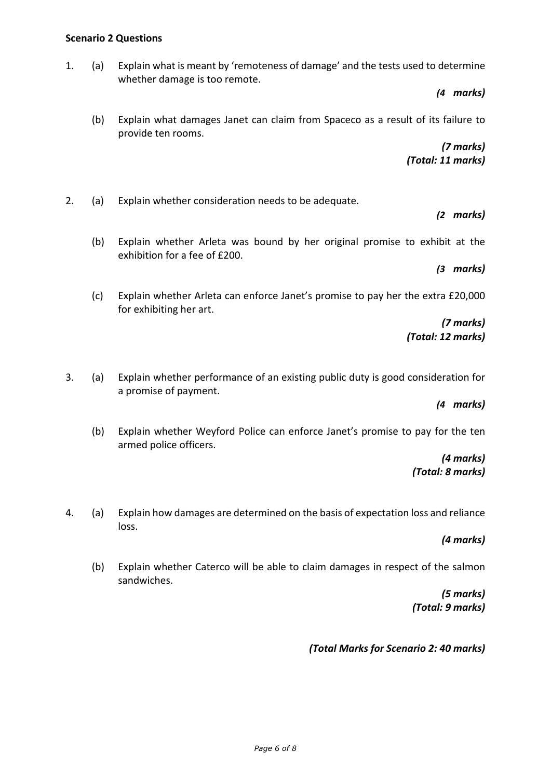## **Scenario 2 Questions**

1. (a) Explain what is meant by 'remoteness of damage' and the tests used to determine whether damage is too remote.

*(4 marks)*

(b) Explain what damages Janet can claim from Spaceco as a result of its failure to provide ten rooms.

> *(7 marks) (Total: 11 marks)*

- 2. (a) Explain whether consideration needs to be adequate.
	- (b) Explain whether Arleta was bound by her original promise to exhibit at the exhibition for a fee of £200.

*(3 marks)*

*(2 marks)*

(c) Explain whether Arleta can enforce Janet's promise to pay her the extra £20,000 for exhibiting her art.

> *(7 marks) (Total: 12 marks)*

3. (a) Explain whether performance of an existing public duty is good consideration for a promise of payment.

*(4 marks)*

(b) Explain whether Weyford Police can enforce Janet's promise to pay for the ten armed police officers.

> *(4 marks) (Total: 8 marks)*

4. (a) Explain how damages are determined on the basis of expectation loss and reliance loss.

*(4 marks)*

(b) Explain whether Caterco will be able to claim damages in respect of the salmon sandwiches.

> *(5 marks) (Total: 9 marks)*

*(Total Marks for Scenario 2: 40 marks)*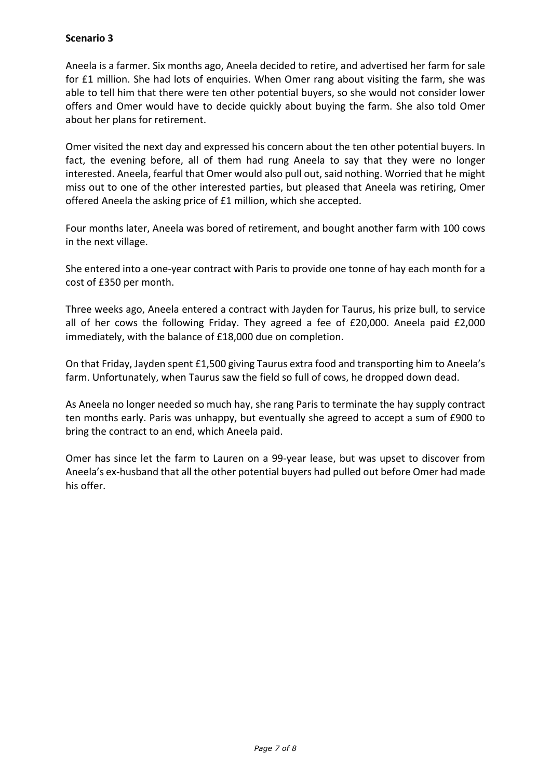# **Scenario 3**

Aneela is a farmer. Six months ago, Aneela decided to retire, and advertised her farm for sale for £1 million. She had lots of enquiries. When Omer rang about visiting the farm, she was able to tell him that there were ten other potential buyers, so she would not consider lower offers and Omer would have to decide quickly about buying the farm. She also told Omer about her plans for retirement.

Omer visited the next day and expressed his concern about the ten other potential buyers. In fact, the evening before, all of them had rung Aneela to say that they were no longer interested. Aneela, fearful that Omer would also pull out, said nothing. Worried that he might miss out to one of the other interested parties, but pleased that Aneela was retiring, Omer offered Aneela the asking price of £1 million, which she accepted.

Four months later, Aneela was bored of retirement, and bought another farm with 100 cows in the next village.

She entered into a one-year contract with Paris to provide one tonne of hay each month for a cost of £350 per month.

Three weeks ago, Aneela entered a contract with Jayden for Taurus, his prize bull, to service all of her cows the following Friday. They agreed a fee of £20,000. Aneela paid £2,000 immediately, with the balance of £18,000 due on completion.

On that Friday, Jayden spent £1,500 giving Taurus extra food and transporting him to Aneela's farm. Unfortunately, when Taurus saw the field so full of cows, he dropped down dead.

As Aneela no longer needed so much hay, she rang Paris to terminate the hay supply contract ten months early. Paris was unhappy, but eventually she agreed to accept a sum of £900 to bring the contract to an end, which Aneela paid.

Omer has since let the farm to Lauren on a 99-year lease, but was upset to discover from Aneela's ex-husband that all the other potential buyers had pulled out before Omer had made his offer.